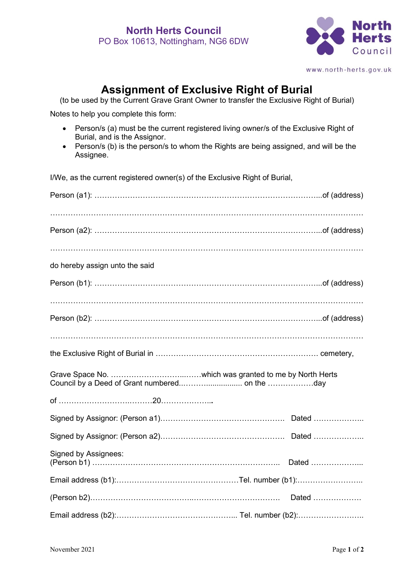

www.north-herts.gov.uk

## **Assignment of Exclusive Right of Burial**

(to be used by the Current Grave Grant Owner to transfer the Exclusive Right of Burial)

Notes to help you complete this form:

- Person/s (a) must be the current registered living owner/s of the Exclusive Right of Burial, and is the Assignor.
- Person/s (b) is the person/s to whom the Rights are being assigned, and will be the Assignee.

I/We, as the current registered owner(s) of the Exclusive Right of Burial,

| do hereby assign unto the said |  |
|--------------------------------|--|
|                                |  |
|                                |  |
|                                |  |
|                                |  |
|                                |  |
|                                |  |
|                                |  |
|                                |  |
|                                |  |
| <b>Signed by Assignees:</b>    |  |
|                                |  |
|                                |  |
|                                |  |